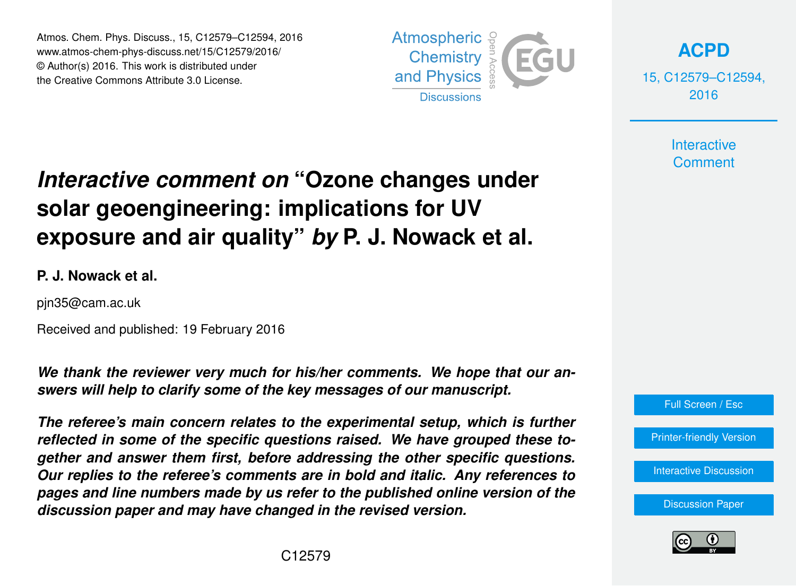Atmos. Chem. Phys. Discuss., 15, C12579–C12594, 2016 www.atmos-chem-phys-discuss.net/15/C12579/2016/ © Author(s) 2016. This work is distributed under the Creative Commons Attribute 3.0 License.



**[ACPD](http://www.atmos-chem-phys-discuss.net)**

15, C12579–C12594, 2016

> **Interactive Comment**

# *Interactive comment on* **"Ozone changes under solar geoengineering: implications for UV exposure and air quality"** *by* **P. J. Nowack et al.**

#### **P. J. Nowack et al.**

pjn35@cam.ac.uk

Received and published: 19 February 2016

*We thank the reviewer very much for his/her comments. We hope that our answers will help to clarify some of the key messages of our manuscript.*

*The referee's main concern relates to the experimental setup, which is further reflected in some of the specific questions raised. We have grouped these together and answer them first, before addressing the other specific questions. Our replies to the referee's comments are in bold and italic. Any references to pages and line numbers made by us refer to the published online version of the discussion paper and may have changed in the revised version.*



[Printer-friendly Version](http://www.atmos-chem-phys-discuss.net/15/C12579/2016/acpd-15-C12579-2016-print.pdf)

[Interactive Discussion](http://www.atmos-chem-phys-discuss.net/15/31973/2015/acpd-15-31973-2015-discussion.html)

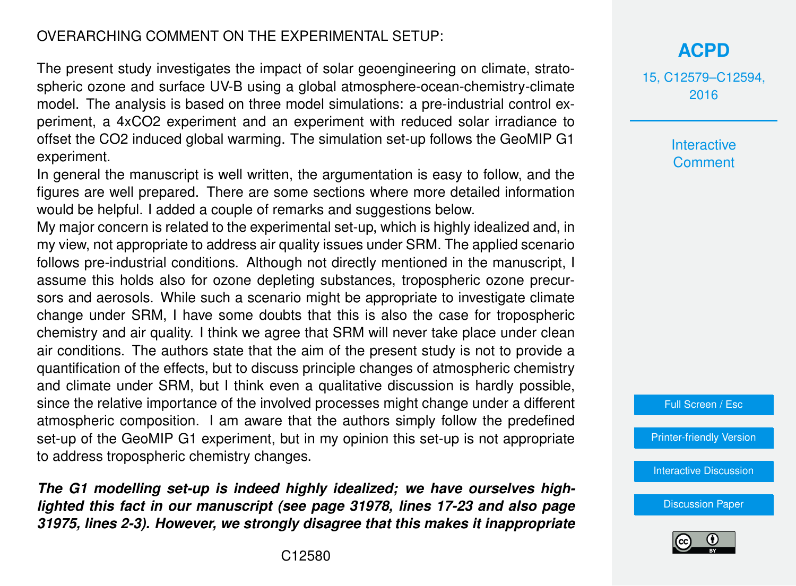#### OVERARCHING COMMENT ON THE EXPERIMENTAL SETUP:

The present study investigates the impact of solar geoengineering on climate, stratospheric ozone and surface UV-B using a global atmosphere-ocean-chemistry-climate model. The analysis is based on three model simulations: a pre-industrial control experiment, a 4xCO2 experiment and an experiment with reduced solar irradiance to offset the CO2 induced global warming. The simulation set-up follows the GeoMIP G1 experiment.

In general the manuscript is well written, the argumentation is easy to follow, and the figures are well prepared. There are some sections where more detailed information would be helpful. I added a couple of remarks and suggestions below.

My major concern is related to the experimental set-up, which is highly idealized and, in my view, not appropriate to address air quality issues under SRM. The applied scenario follows pre-industrial conditions. Although not directly mentioned in the manuscript, I assume this holds also for ozone depleting substances, tropospheric ozone precursors and aerosols. While such a scenario might be appropriate to investigate climate change under SRM, I have some doubts that this is also the case for tropospheric chemistry and air quality. I think we agree that SRM will never take place under clean air conditions. The authors state that the aim of the present study is not to provide a quantification of the effects, but to discuss principle changes of atmospheric chemistry and climate under SRM, but I think even a qualitative discussion is hardly possible, since the relative importance of the involved processes might change under a different atmospheric composition. I am aware that the authors simply follow the predefined set-up of the GeoMIP G1 experiment, but in my opinion this set-up is not appropriate to address tropospheric chemistry changes.

*The G1 modelling set-up is indeed highly idealized; we have ourselves highlighted this fact in our manuscript (see page 31978, lines 17-23 and also page 31975, lines 2-3). However, we strongly disagree that this makes it inappropriate* 15, C12579–C12594, 2016

> Interactive **Comment**



[Printer-friendly Version](http://www.atmos-chem-phys-discuss.net/15/C12579/2016/acpd-15-C12579-2016-print.pdf)

[Interactive Discussion](http://www.atmos-chem-phys-discuss.net/15/31973/2015/acpd-15-31973-2015-discussion.html)

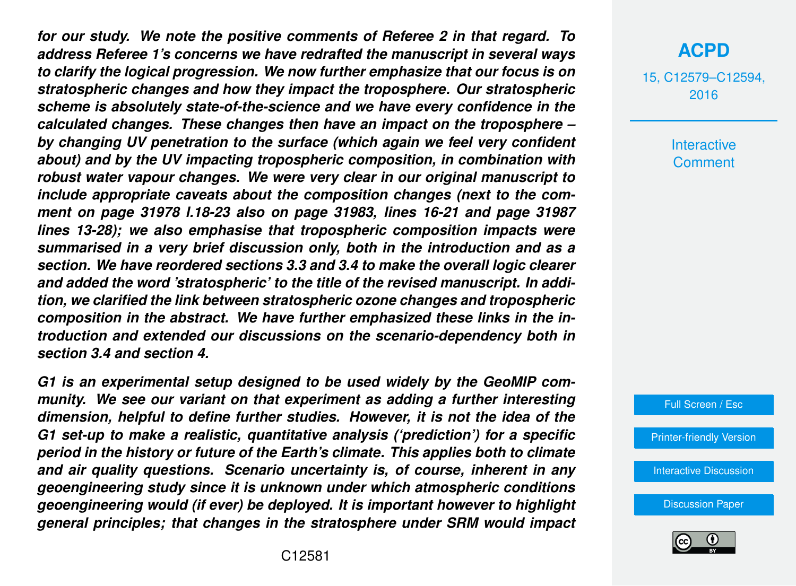*for our study. We note the positive comments of Referee 2 in that regard. To address Referee 1's concerns we have redrafted the manuscript in several ways to clarify the logical progression. We now further emphasize that our focus is on stratospheric changes and how they impact the troposphere. Our stratospheric scheme is absolutely state-of-the-science and we have every confidence in the calculated changes. These changes then have an impact on the troposphere – by changing UV penetration to the surface (which again we feel very confident about) and by the UV impacting tropospheric composition, in combination with robust water vapour changes. We were very clear in our original manuscript to include appropriate caveats about the composition changes (next to the comment on page 31978 l.18-23 also on page 31983, lines 16-21 and page 31987 lines 13-28); we also emphasise that tropospheric composition impacts were summarised in a very brief discussion only, both in the introduction and as a section. We have reordered sections 3.3 and 3.4 to make the overall logic clearer and added the word 'stratospheric' to the title of the revised manuscript. In addition, we clarified the link between stratospheric ozone changes and tropospheric composition in the abstract. We have further emphasized these links in the introduction and extended our discussions on the scenario-dependency both in section 3.4 and section 4.*

*G1 is an experimental setup designed to be used widely by the GeoMIP community. We see our variant on that experiment as adding a further interesting dimension, helpful to define further studies. However, it is not the idea of the G1 set-up to make a realistic, quantitative analysis ('prediction') for a specific period in the history or future of the Earth's climate. This applies both to climate and air quality questions. Scenario uncertainty is, of course, inherent in any geoengineering study since it is unknown under which atmospheric conditions geoengineering would (if ever) be deployed. It is important however to highlight general principles; that changes in the stratosphere under SRM would impact*

## **[ACPD](http://www.atmos-chem-phys-discuss.net)**

15, C12579–C12594, 2016

> Interactive **Comment**



[Printer-friendly Version](http://www.atmos-chem-phys-discuss.net/15/C12579/2016/acpd-15-C12579-2016-print.pdf)

[Interactive Discussion](http://www.atmos-chem-phys-discuss.net/15/31973/2015/acpd-15-31973-2015-discussion.html)

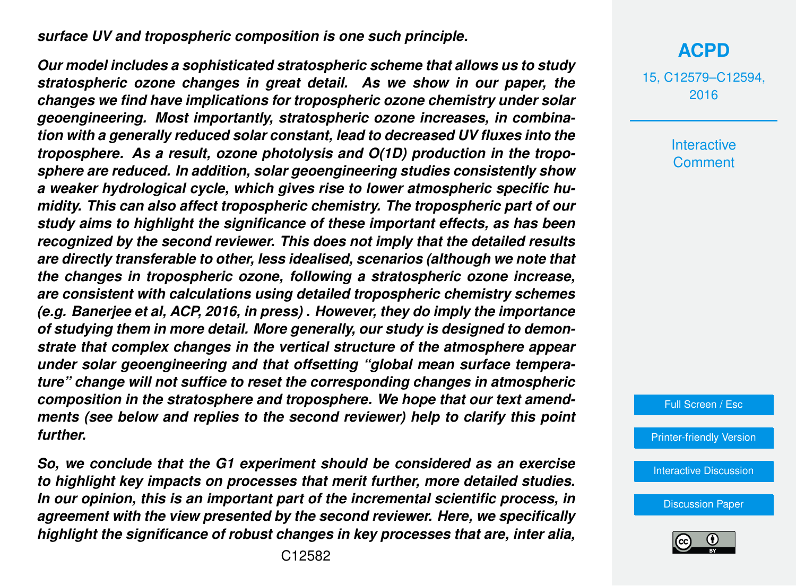*surface UV and tropospheric composition is one such principle.*

*Our model includes a sophisticated stratospheric scheme that allows us to study stratospheric ozone changes in great detail. As we show in our paper, the changes we find have implications for tropospheric ozone chemistry under solar geoengineering. Most importantly, stratospheric ozone increases, in combination with a generally reduced solar constant, lead to decreased UV fluxes into the troposphere. As a result, ozone photolysis and O(1D) production in the troposphere are reduced. In addition, solar geoengineering studies consistently show a weaker hydrological cycle, which gives rise to lower atmospheric specific humidity. This can also affect tropospheric chemistry. The tropospheric part of our study aims to highlight the significance of these important effects, as has been recognized by the second reviewer. This does not imply that the detailed results are directly transferable to other, less idealised, scenarios (although we note that the changes in tropospheric ozone, following a stratospheric ozone increase, are consistent with calculations using detailed tropospheric chemistry schemes (e.g. Banerjee et al, ACP, 2016, in press) . However, they do imply the importance of studying them in more detail. More generally, our study is designed to demonstrate that complex changes in the vertical structure of the atmosphere appear under solar geoengineering and that offsetting "global mean surface temperature" change will not suffice to reset the corresponding changes in atmospheric composition in the stratosphere and troposphere. We hope that our text amendments (see below and replies to the second reviewer) help to clarify this point further.*

*So, we conclude that the G1 experiment should be considered as an exercise to highlight key impacts on processes that merit further, more detailed studies. In our opinion, this is an important part of the incremental scientific process, in agreement with the view presented by the second reviewer. Here, we specifically highlight the significance of robust changes in key processes that are, inter alia,*

15, C12579–C12594, 2016

> **Interactive Comment**

Full Screen / Esc

[Printer-friendly Version](http://www.atmos-chem-phys-discuss.net/15/C12579/2016/acpd-15-C12579-2016-print.pdf)

[Interactive Discussion](http://www.atmos-chem-phys-discuss.net/15/31973/2015/acpd-15-31973-2015-discussion.html)

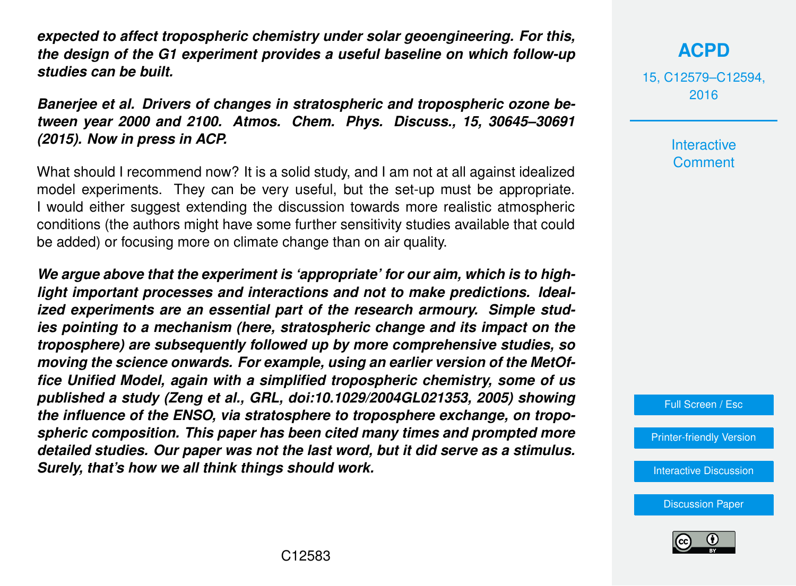*expected to affect tropospheric chemistry under solar geoengineering. For this, the design of the G1 experiment provides a useful baseline on which follow-up studies can be built.*

*Banerjee et al. Drivers of changes in stratospheric and tropospheric ozone between year 2000 and 2100. Atmos. Chem. Phys. Discuss., 15, 30645–30691 (2015). Now in press in ACP.*

What should I recommend now? It is a solid study, and I am not at all against idealized model experiments. They can be very useful, but the set-up must be appropriate. I would either suggest extending the discussion towards more realistic atmospheric conditions (the authors might have some further sensitivity studies available that could be added) or focusing more on climate change than on air quality.

*We argue above that the experiment is 'appropriate' for our aim, which is to highlight important processes and interactions and not to make predictions. Idealized experiments are an essential part of the research armoury. Simple studies pointing to a mechanism (here, stratospheric change and its impact on the troposphere) are subsequently followed up by more comprehensive studies, so moving the science onwards. For example, using an earlier version of the MetOffice Unified Model, again with a simplified tropospheric chemistry, some of us published a study (Zeng et al., GRL, doi:10.1029/2004GL021353, 2005) showing the influence of the ENSO, via stratosphere to troposphere exchange, on tropospheric composition. This paper has been cited many times and prompted more detailed studies. Our paper was not the last word, but it did serve as a stimulus. Surely, that's how we all think things should work.*

**[ACPD](http://www.atmos-chem-phys-discuss.net)**

15, C12579–C12594, 2016

> **Interactive Comment**

Full Screen / Esc

[Printer-friendly Version](http://www.atmos-chem-phys-discuss.net/15/C12579/2016/acpd-15-C12579-2016-print.pdf)

[Interactive Discussion](http://www.atmos-chem-phys-discuss.net/15/31973/2015/acpd-15-31973-2015-discussion.html)

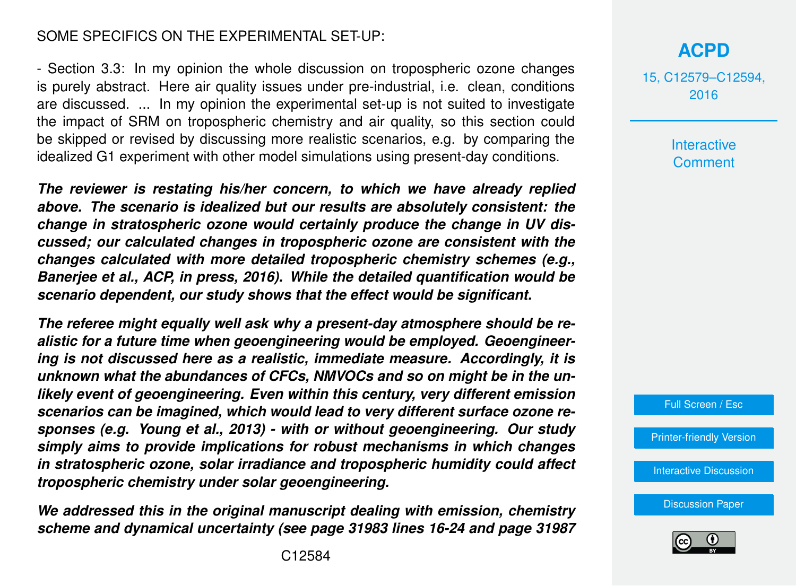#### SOME SPECIFICS ON THE EXPERIMENTAL SET-UP:

- Section 3.3: In my opinion the whole discussion on tropospheric ozone changes is purely abstract. Here air quality issues under pre-industrial, i.e. clean, conditions are discussed. ... In my opinion the experimental set-up is not suited to investigate the impact of SRM on tropospheric chemistry and air quality, so this section could be skipped or revised by discussing more realistic scenarios, e.g. by comparing the idealized G1 experiment with other model simulations using present-day conditions.

*The reviewer is restating his/her concern, to which we have already replied above. The scenario is idealized but our results are absolutely consistent: the change in stratospheric ozone would certainly produce the change in UV discussed; our calculated changes in tropospheric ozone are consistent with the changes calculated with more detailed tropospheric chemistry schemes (e.g., Banerjee et al., ACP, in press, 2016). While the detailed quantification would be scenario dependent, our study shows that the effect would be significant.*

*The referee might equally well ask why a present-day atmosphere should be realistic for a future time when geoengineering would be employed. Geoengineering is not discussed here as a realistic, immediate measure. Accordingly, it is unknown what the abundances of CFCs, NMVOCs and so on might be in the unlikely event of geoengineering. Even within this century, very different emission scenarios can be imagined, which would lead to very different surface ozone responses (e.g. Young et al., 2013) - with or without geoengineering. Our study simply aims to provide implications for robust mechanisms in which changes in stratospheric ozone, solar irradiance and tropospheric humidity could affect tropospheric chemistry under solar geoengineering.*

*We addressed this in the original manuscript dealing with emission, chemistry scheme and dynamical uncertainty (see page 31983 lines 16-24 and page 31987*

## **[ACPD](http://www.atmos-chem-phys-discuss.net)**

15, C12579–C12594, 2016

> Interactive **Comment**



[Printer-friendly Version](http://www.atmos-chem-phys-discuss.net/15/C12579/2016/acpd-15-C12579-2016-print.pdf)

[Interactive Discussion](http://www.atmos-chem-phys-discuss.net/15/31973/2015/acpd-15-31973-2015-discussion.html)

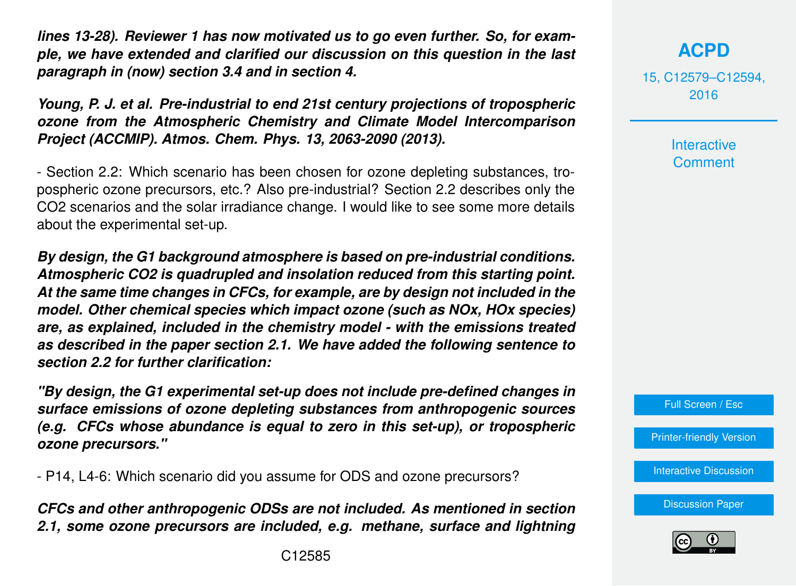*lines 13-28). Reviewer 1 has now motivated us to go even further. So, for example, we have extended and clarified our discussion on this question in the last paragraph in (now) section 3.4 and in section 4.*

*Young, P. J. et al. Pre-industrial to end 21st century projections of tropospheric ozone from the Atmospheric Chemistry and Climate Model Intercomparison Project (ACCMIP). Atmos. Chem. Phys. 13, 2063-2090 (2013).*

- Section 2.2: Which scenario has been chosen for ozone depleting substances, tropospheric ozone precursors, etc.? Also pre-industrial? Section 2.2 describes only the CO2 scenarios and the solar irradiance change. I would like to see some more details about the experimental set-up.

*By design, the G1 background atmosphere is based on pre-industrial conditions. Atmospheric CO2 is quadrupled and insolation reduced from this starting point. At the same time changes in CFCs, for example, are by design not included in the model. Other chemical species which impact ozone (such as NOx, HOx species) are, as explained, included in the chemistry model - with the emissions treated as described in the paper section 2.1. We have added the following sentence to section 2.2 for further clarification:*

*"By design, the G1 experimental set-up does not include pre-defined changes in surface emissions of ozone depleting substances from anthropogenic sources (e.g. CFCs whose abundance is equal to zero in this set-up), or tropospheric ozone precursors."*

- P14, L4-6: Which scenario did you assume for ODS and ozone precursors?

*CFCs and other anthropogenic ODSs are not included. As mentioned in section 2.1, some ozone precursors are included, e.g. methane, surface and lightning*

15, C12579–C12594, 2016

> **Interactive Comment**

Full Screen / Esc

[Printer-friendly Version](http://www.atmos-chem-phys-discuss.net/15/C12579/2016/acpd-15-C12579-2016-print.pdf)

[Interactive Discussion](http://www.atmos-chem-phys-discuss.net/15/31973/2015/acpd-15-31973-2015-discussion.html)

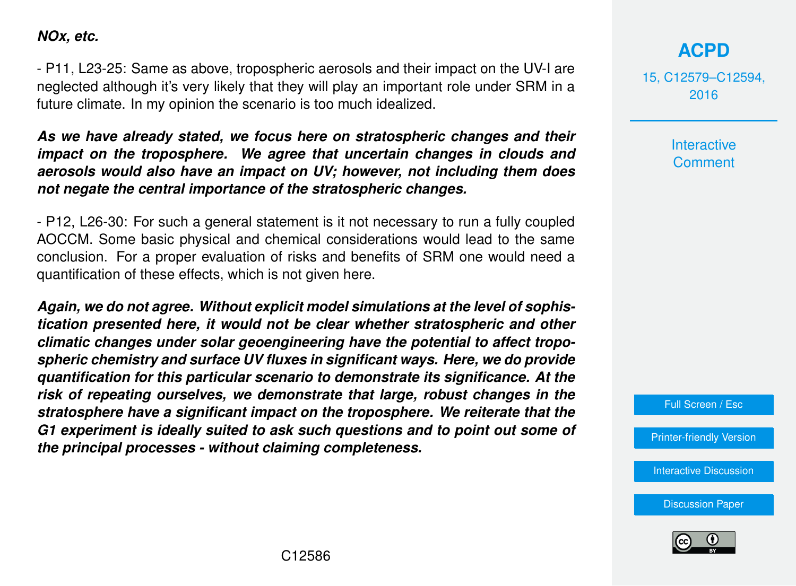#### *NOx, etc.*

- P11, L23-25: Same as above, tropospheric aerosols and their impact on the UV-I are neglected although it's very likely that they will play an important role under SRM in a future climate. In my opinion the scenario is too much idealized.

*As we have already stated, we focus here on stratospheric changes and their impact on the troposphere. We agree that uncertain changes in clouds and aerosols would also have an impact on UV; however, not including them does not negate the central importance of the stratospheric changes.*

- P12, L26-30: For such a general statement is it not necessary to run a fully coupled AOCCM. Some basic physical and chemical considerations would lead to the same conclusion. For a proper evaluation of risks and benefits of SRM one would need a quantification of these effects, which is not given here.

*Again, we do not agree. Without explicit model simulations at the level of sophistication presented here, it would not be clear whether stratospheric and other climatic changes under solar geoengineering have the potential to affect tropospheric chemistry and surface UV fluxes in significant ways. Here, we do provide quantification for this particular scenario to demonstrate its significance. At the risk of repeating ourselves, we demonstrate that large, robust changes in the stratosphere have a significant impact on the troposphere. We reiterate that the G1 experiment is ideally suited to ask such questions and to point out some of the principal processes - without claiming completeness.*

**[ACPD](http://www.atmos-chem-phys-discuss.net)**

15, C12579–C12594, 2016

> Interactive **Comment**

Full Screen / Esc

[Printer-friendly Version](http://www.atmos-chem-phys-discuss.net/15/C12579/2016/acpd-15-C12579-2016-print.pdf)

[Interactive Discussion](http://www.atmos-chem-phys-discuss.net/15/31973/2015/acpd-15-31973-2015-discussion.html)

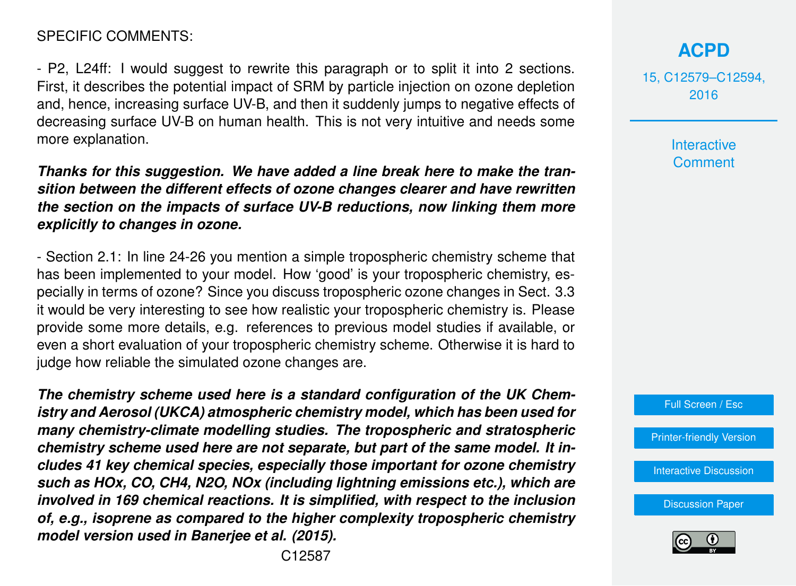#### SPECIFIC COMMENTS:

- P2, L24ff: I would suggest to rewrite this paragraph or to split it into 2 sections. First, it describes the potential impact of SRM by particle injection on ozone depletion and, hence, increasing surface UV-B, and then it suddenly jumps to negative effects of decreasing surface UV-B on human health. This is not very intuitive and needs some more explanation.

*Thanks for this suggestion. We have added a line break here to make the transition between the different effects of ozone changes clearer and have rewritten the section on the impacts of surface UV-B reductions, now linking them more explicitly to changes in ozone.*

- Section 2.1: In line 24-26 you mention a simple tropospheric chemistry scheme that has been implemented to your model. How 'good' is your tropospheric chemistry, especially in terms of ozone? Since you discuss tropospheric ozone changes in Sect. 3.3 it would be very interesting to see how realistic your tropospheric chemistry is. Please provide some more details, e.g. references to previous model studies if available, or even a short evaluation of your tropospheric chemistry scheme. Otherwise it is hard to judge how reliable the simulated ozone changes are.

*The chemistry scheme used here is a standard configuration of the UK Chemistry and Aerosol (UKCA) atmospheric chemistry model, which has been used for many chemistry-climate modelling studies. The tropospheric and stratospheric chemistry scheme used here are not separate, but part of the same model. It includes 41 key chemical species, especially those important for ozone chemistry such as HOx, CO, CH4, N2O, NOx (including lightning emissions etc.), which are involved in 169 chemical reactions. It is simplified, with respect to the inclusion of, e.g., isoprene as compared to the higher complexity tropospheric chemistry model version used in Banerjee et al. (2015).*

15, C12579–C12594, 2016

> **Interactive Comment**



[Printer-friendly Version](http://www.atmos-chem-phys-discuss.net/15/C12579/2016/acpd-15-C12579-2016-print.pdf)

[Interactive Discussion](http://www.atmos-chem-phys-discuss.net/15/31973/2015/acpd-15-31973-2015-discussion.html)

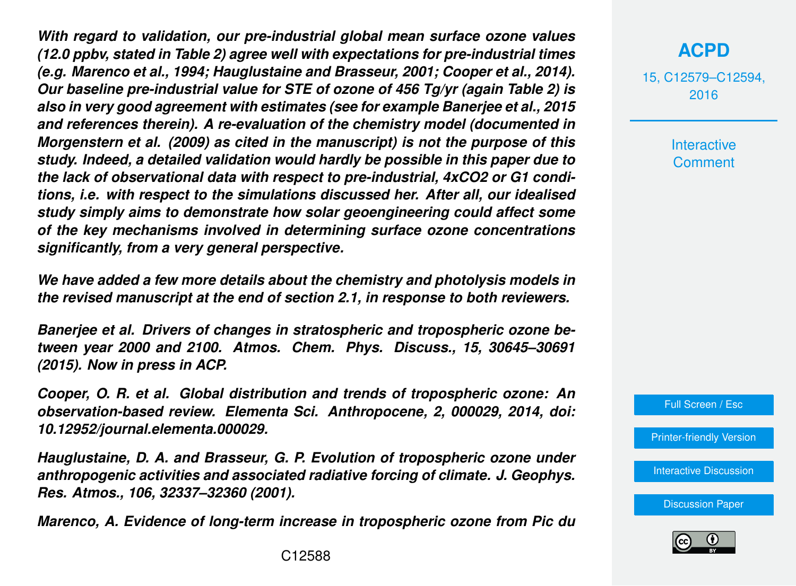*With regard to validation, our pre-industrial global mean surface ozone values (12.0 ppbv, stated in Table 2) agree well with expectations for pre-industrial times (e.g. Marenco et al., 1994; Hauglustaine and Brasseur, 2001; Cooper et al., 2014). Our baseline pre-industrial value for STE of ozone of 456 Tg/yr (again Table 2) is also in very good agreement with estimates (see for example Banerjee et al., 2015 and references therein). A re-evaluation of the chemistry model (documented in Morgenstern et al. (2009) as cited in the manuscript) is not the purpose of this study. Indeed, a detailed validation would hardly be possible in this paper due to the lack of observational data with respect to pre-industrial, 4xCO2 or G1 conditions, i.e. with respect to the simulations discussed her. After all, our idealised study simply aims to demonstrate how solar geoengineering could affect some of the key mechanisms involved in determining surface ozone concentrations significantly, from a very general perspective.*

*We have added a few more details about the chemistry and photolysis models in the revised manuscript at the end of section 2.1, in response to both reviewers.*

*Banerjee et al. Drivers of changes in stratospheric and tropospheric ozone between year 2000 and 2100. Atmos. Chem. Phys. Discuss., 15, 30645–30691 (2015). Now in press in ACP.*

*Cooper, O. R. et al. Global distribution and trends of tropospheric ozone: An observation-based review. Elementa Sci. Anthropocene, 2, 000029, 2014, doi: 10.12952/journal.elementa.000029.*

*Hauglustaine, D. A. and Brasseur, G. P. Evolution of tropospheric ozone under anthropogenic activities and associated radiative forcing of climate. J. Geophys. Res. Atmos., 106, 32337–32360 (2001).*

*Marenco, A. Evidence of long-term increase in tropospheric ozone from Pic du*

15, C12579–C12594, 2016

> **Interactive Comment**

Full Screen / Esc

[Printer-friendly Version](http://www.atmos-chem-phys-discuss.net/15/C12579/2016/acpd-15-C12579-2016-print.pdf)

[Interactive Discussion](http://www.atmos-chem-phys-discuss.net/15/31973/2015/acpd-15-31973-2015-discussion.html)

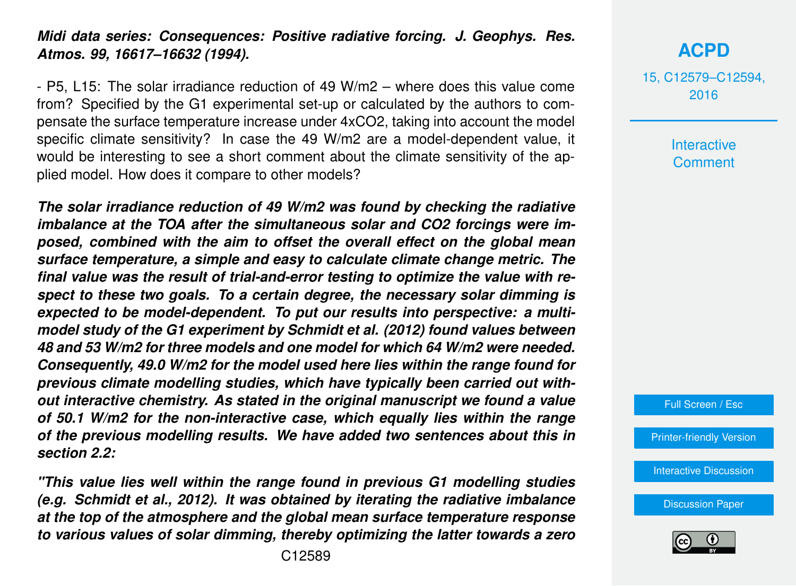#### *Midi data series: Consequences: Positive radiative forcing. J. Geophys. Res. Atmos. 99, 16617–16632 (1994).*

- P5, L15: The solar irradiance reduction of 49 W/m2 – where does this value come from? Specified by the G1 experimental set-up or calculated by the authors to compensate the surface temperature increase under 4xCO2, taking into account the model specific climate sensitivity? In case the 49 W/m2 are a model-dependent value, it would be interesting to see a short comment about the climate sensitivity of the applied model. How does it compare to other models?

*The solar irradiance reduction of 49 W/m2 was found by checking the radiative imbalance at the TOA after the simultaneous solar and CO2 forcings were imposed, combined with the aim to offset the overall effect on the global mean surface temperature, a simple and easy to calculate climate change metric. The final value was the result of trial-and-error testing to optimize the value with respect to these two goals. To a certain degree, the necessary solar dimming is expected to be model-dependent. To put our results into perspective: a multimodel study of the G1 experiment by Schmidt et al. (2012) found values between 48 and 53 W/m2 for three models and one model for which 64 W/m2 were needed. Consequently, 49.0 W/m2 for the model used here lies within the range found for previous climate modelling studies, which have typically been carried out without interactive chemistry. As stated in the original manuscript we found a value of 50.1 W/m2 for the non-interactive case, which equally lies within the range of the previous modelling results. We have added two sentences about this in section 2.2:*

*"This value lies well within the range found in previous G1 modelling studies (e.g. Schmidt et al., 2012). It was obtained by iterating the radiative imbalance at the top of the atmosphere and the global mean surface temperature response to various values of solar dimming, thereby optimizing the latter towards a zero*

**[ACPD](http://www.atmos-chem-phys-discuss.net)**

Interactive **Comment** 

Full Screen / Esc

[Printer-friendly Version](http://www.atmos-chem-phys-discuss.net/15/C12579/2016/acpd-15-C12579-2016-print.pdf)

[Interactive Discussion](http://www.atmos-chem-phys-discuss.net/15/31973/2015/acpd-15-31973-2015-discussion.html)

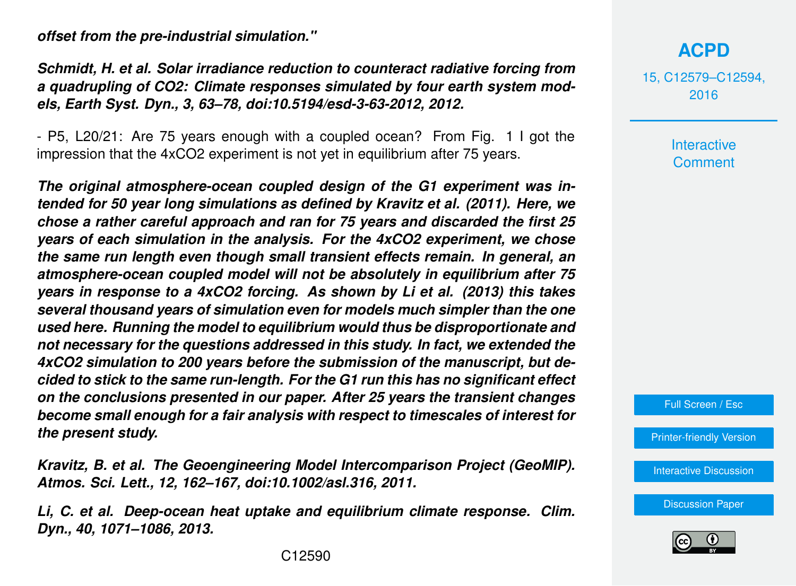*offset from the pre-industrial simulation."*

*Schmidt, H. et al. Solar irradiance reduction to counteract radiative forcing from a quadrupling of CO2: Climate responses simulated by four earth system models, Earth Syst. Dyn., 3, 63–78, doi:10.5194/esd-3-63-2012, 2012.*

- P5, L20/21: Are 75 years enough with a coupled ocean? From Fig. 1 I got the impression that the 4xCO2 experiment is not yet in equilibrium after 75 years.

*The original atmosphere-ocean coupled design of the G1 experiment was intended for 50 year long simulations as defined by Kravitz et al. (2011). Here, we chose a rather careful approach and ran for 75 years and discarded the first 25 years of each simulation in the analysis. For the 4xCO2 experiment, we chose the same run length even though small transient effects remain. In general, an atmosphere-ocean coupled model will not be absolutely in equilibrium after 75 years in response to a 4xCO2 forcing. As shown by Li et al. (2013) this takes several thousand years of simulation even for models much simpler than the one used here. Running the model to equilibrium would thus be disproportionate and not necessary for the questions addressed in this study. In fact, we extended the 4xCO2 simulation to 200 years before the submission of the manuscript, but decided to stick to the same run-length. For the G1 run this has no significant effect on the conclusions presented in our paper. After 25 years the transient changes become small enough for a fair analysis with respect to timescales of interest for the present study.*

*Kravitz, B. et al. The Geoengineering Model Intercomparison Project (GeoMIP). Atmos. Sci. Lett., 12, 162–167, doi:10.1002/asl.316, 2011.*

*Li, C. et al. Deep-ocean heat uptake and equilibrium climate response. Clim. Dyn., 40, 1071–1086, 2013.*

# **[ACPD](http://www.atmos-chem-phys-discuss.net)**

15, C12579–C12594, 2016

> Interactive **Comment**

Full Screen / Esc

[Printer-friendly Version](http://www.atmos-chem-phys-discuss.net/15/C12579/2016/acpd-15-C12579-2016-print.pdf)

[Interactive Discussion](http://www.atmos-chem-phys-discuss.net/15/31973/2015/acpd-15-31973-2015-discussion.html)

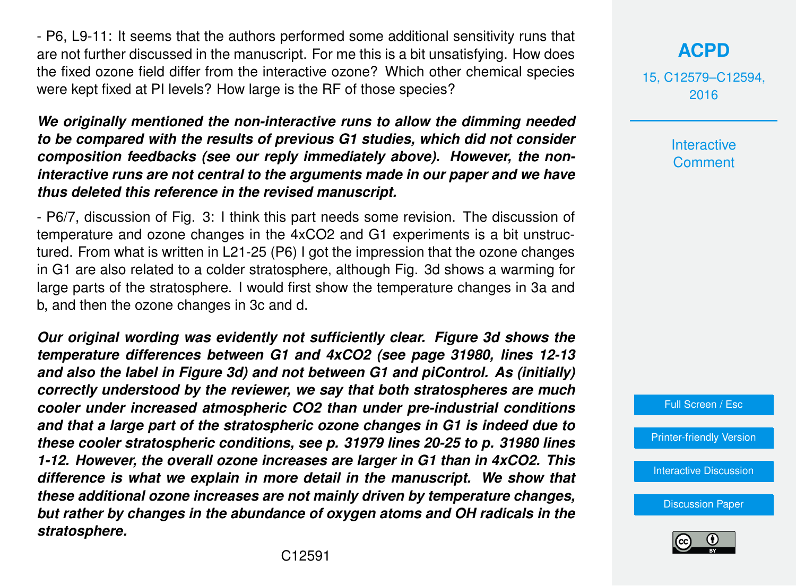- P6, L9-11: It seems that the authors performed some additional sensitivity runs that are not further discussed in the manuscript. For me this is a bit unsatisfying. How does the fixed ozone field differ from the interactive ozone? Which other chemical species were kept fixed at PI levels? How large is the RF of those species?

*We originally mentioned the non-interactive runs to allow the dimming needed to be compared with the results of previous G1 studies, which did not consider composition feedbacks (see our reply immediately above). However, the noninteractive runs are not central to the arguments made in our paper and we have thus deleted this reference in the revised manuscript.*

- P6/7, discussion of Fig. 3: I think this part needs some revision. The discussion of temperature and ozone changes in the 4xCO2 and G1 experiments is a bit unstructured. From what is written in L21-25 (P6) I got the impression that the ozone changes in G1 are also related to a colder stratosphere, although Fig. 3d shows a warming for large parts of the stratosphere. I would first show the temperature changes in 3a and b, and then the ozone changes in 3c and d.

*Our original wording was evidently not sufficiently clear. Figure 3d shows the temperature differences between G1 and 4xCO2 (see page 31980, lines 12-13 and also the label in Figure 3d) and not between G1 and piControl. As (initially) correctly understood by the reviewer, we say that both stratospheres are much cooler under increased atmospheric CO2 than under pre-industrial conditions and that a large part of the stratospheric ozone changes in G1 is indeed due to these cooler stratospheric conditions, see p. 31979 lines 20-25 to p. 31980 lines 1-12. However, the overall ozone increases are larger in G1 than in 4xCO2. This difference is what we explain in more detail in the manuscript. We show that these additional ozone increases are not mainly driven by temperature changes, but rather by changes in the abundance of oxygen atoms and OH radicals in the stratosphere.*

15, C12579–C12594, 2016

> Interactive **Comment**



[Printer-friendly Version](http://www.atmos-chem-phys-discuss.net/15/C12579/2016/acpd-15-C12579-2016-print.pdf)

[Interactive Discussion](http://www.atmos-chem-phys-discuss.net/15/31973/2015/acpd-15-31973-2015-discussion.html)

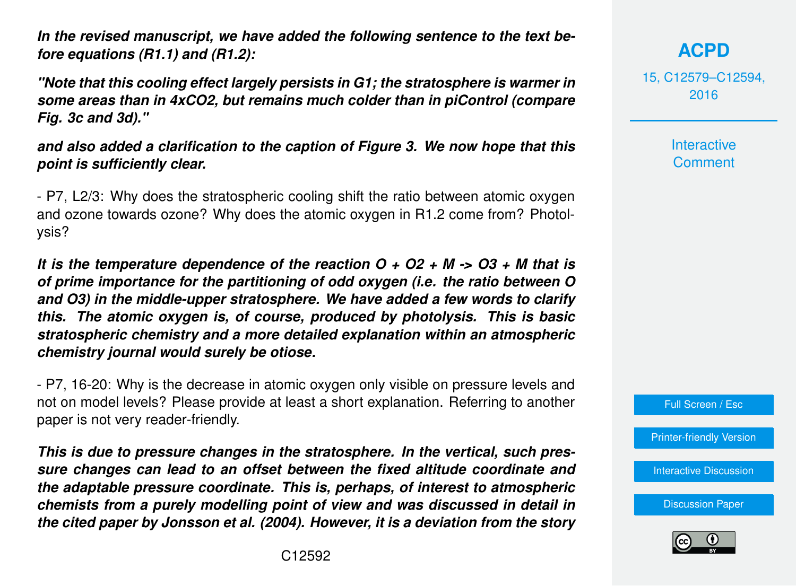*In the revised manuscript, we have added the following sentence to the text before equations (R1.1) and (R1.2):*

*"Note that this cooling effect largely persists in G1; the stratosphere is warmer in some areas than in 4xCO2, but remains much colder than in piControl (compare Fig. 3c and 3d)."*

*and also added a clarification to the caption of Figure 3. We now hope that this point is sufficiently clear.*

- P7, L2/3: Why does the stratospheric cooling shift the ratio between atomic oxygen and ozone towards ozone? Why does the atomic oxygen in R1.2 come from? Photolysis?

*It is the temperature dependence of the reaction O + O2 + M -> O3 + M that is of prime importance for the partitioning of odd oxygen (i.e. the ratio between O and O3) in the middle-upper stratosphere. We have added a few words to clarify this. The atomic oxygen is, of course, produced by photolysis. This is basic stratospheric chemistry and a more detailed explanation within an atmospheric chemistry journal would surely be otiose.*

- P7, 16-20: Why is the decrease in atomic oxygen only visible on pressure levels and not on model levels? Please provide at least a short explanation. Referring to another paper is not very reader-friendly.

*This is due to pressure changes in the stratosphere. In the vertical, such pressure changes can lead to an offset between the fixed altitude coordinate and the adaptable pressure coordinate. This is, perhaps, of interest to atmospheric chemists from a purely modelling point of view and was discussed in detail in the cited paper by Jonsson et al. (2004). However, it is a deviation from the story* 15, C12579–C12594, 2016

> **Interactive Comment**



[Printer-friendly Version](http://www.atmos-chem-phys-discuss.net/15/C12579/2016/acpd-15-C12579-2016-print.pdf)

[Interactive Discussion](http://www.atmos-chem-phys-discuss.net/15/31973/2015/acpd-15-31973-2015-discussion.html)

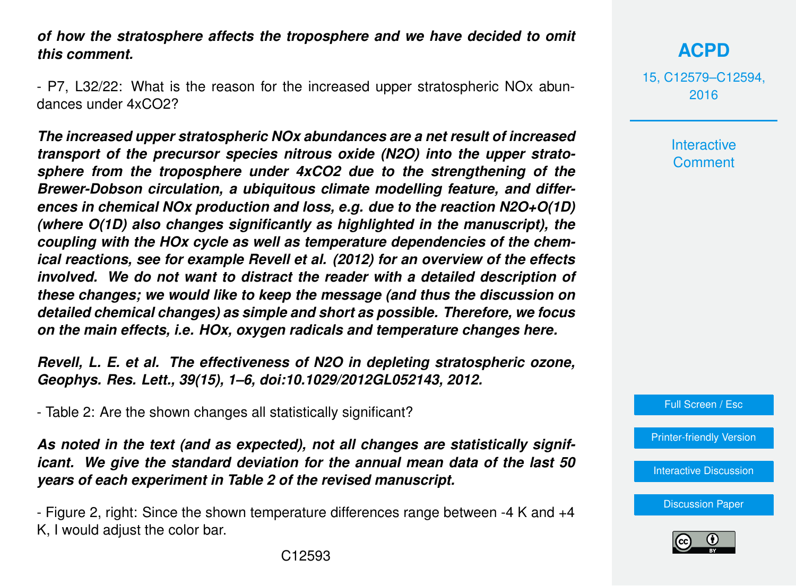*of how the stratosphere affects the troposphere and we have decided to omit this comment.*

- P7, L32/22: What is the reason for the increased upper stratospheric NOx abundances under 4xCO2?

*The increased upper stratospheric NOx abundances are a net result of increased transport of the precursor species nitrous oxide (N2O) into the upper stratosphere from the troposphere under 4xCO2 due to the strengthening of the Brewer-Dobson circulation, a ubiquitous climate modelling feature, and differences in chemical NOx production and loss, e.g. due to the reaction N2O+O(1D) (where O(1D) also changes significantly as highlighted in the manuscript), the coupling with the HOx cycle as well as temperature dependencies of the chemical reactions, see for example Revell et al. (2012) for an overview of the effects involved. We do not want to distract the reader with a detailed description of these changes; we would like to keep the message (and thus the discussion on detailed chemical changes) as simple and short as possible. Therefore, we focus on the main effects, i.e. HOx, oxygen radicals and temperature changes here.*

*Revell, L. E. et al. The effectiveness of N2O in depleting stratospheric ozone, Geophys. Res. Lett., 39(15), 1–6, doi:10.1029/2012GL052143, 2012.*

- Table 2: Are the shown changes all statistically significant?

*As noted in the text (and as expected), not all changes are statistically significant. We give the standard deviation for the annual mean data of the last 50 years of each experiment in Table 2 of the revised manuscript.*

- Figure 2, right: Since the shown temperature differences range between -4 K and +4 K, I would adjust the color bar.

**[ACPD](http://www.atmos-chem-phys-discuss.net)**

15, C12579–C12594, 2016

> **Interactive Comment**

Full Screen / Esc

[Printer-friendly Version](http://www.atmos-chem-phys-discuss.net/15/C12579/2016/acpd-15-C12579-2016-print.pdf)

[Interactive Discussion](http://www.atmos-chem-phys-discuss.net/15/31973/2015/acpd-15-31973-2015-discussion.html)